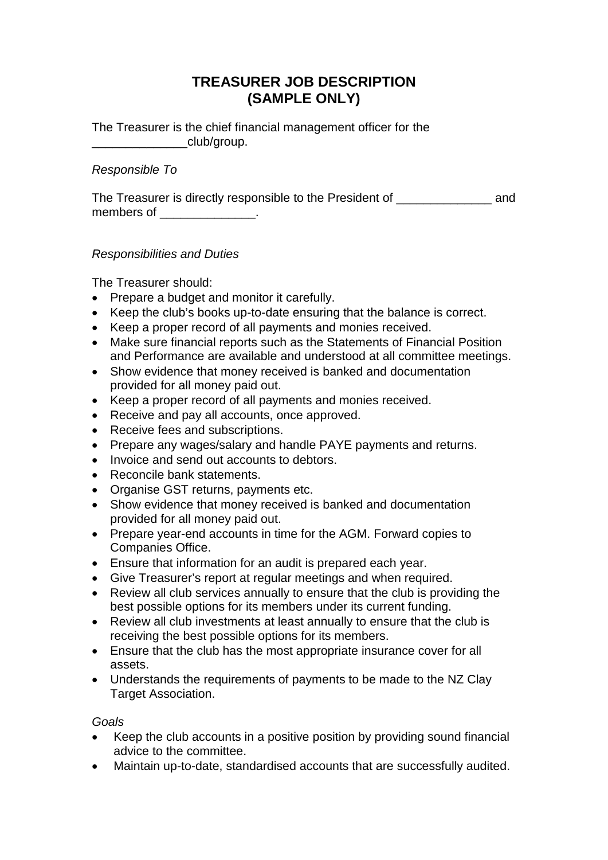# **TREASURER JOB DESCRIPTION (SAMPLE ONLY)**

The Treasurer is the chief financial management officer for the club/group.

#### *Responsible To*

The Treasurer is directly responsible to the President of **The Treasurer** is directly responsible to the President of members of \_\_\_\_\_\_\_\_\_\_\_\_\_\_.

#### *Responsibilities and Duties*

The Treasurer should:

- Prepare a budget and monitor it carefully.
- Keep the club's books up-to-date ensuring that the balance is correct.
- Keep a proper record of all payments and monies received.
- Make sure financial reports such as the Statements of Financial Position and Performance are available and understood at all committee meetings.
- Show evidence that money received is banked and documentation provided for all money paid out.
- Keep a proper record of all payments and monies received.
- Receive and pay all accounts, once approved.
- Receive fees and subscriptions.
- Prepare any wages/salary and handle PAYE payments and returns.
- Invoice and send out accounts to debtors.
- Reconcile bank statements.
- Organise GST returns, payments etc.
- Show evidence that money received is banked and documentation provided for all money paid out.
- Prepare year-end accounts in time for the AGM. Forward copies to Companies Office.
- Ensure that information for an audit is prepared each year.
- Give Treasurer's report at regular meetings and when required.
- Review all club services annually to ensure that the club is providing the best possible options for its members under its current funding.
- Review all club investments at least annually to ensure that the club is receiving the best possible options for its members.
- Ensure that the club has the most appropriate insurance cover for all assets.
- Understands the requirements of payments to be made to the NZ Clay Target Association.

*Goals*

- Keep the club accounts in a positive position by providing sound financial advice to the committee.
- Maintain up-to-date, standardised accounts that are successfully audited.